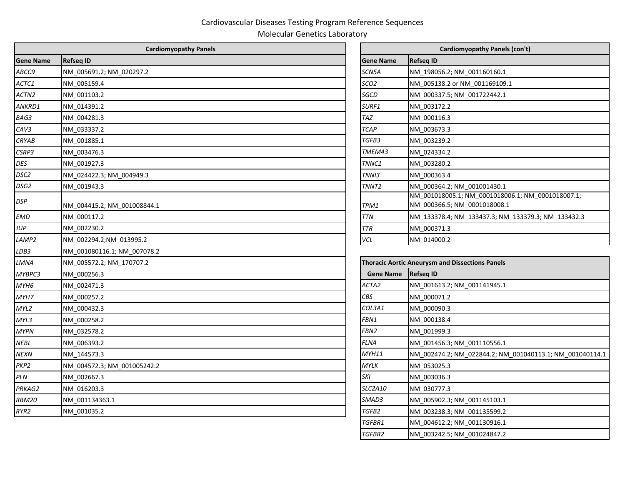## Cardiovascular Diseases Testing Program Reference Sequences

Molecular Genetics Laboratory

| <b>Cardiomyopathy Panels</b> |                             |                   | Cardiomyopathy Panels (con't)                                                     |  |  |
|------------------------------|-----------------------------|-------------------|-----------------------------------------------------------------------------------|--|--|
| <b>Gene Name</b>             | <b>Refseq ID</b>            | <b>Gene Name</b>  | <b>Refseq ID</b>                                                                  |  |  |
| ABCC9                        | NM 005691.2; NM 020297.2    | SCN5A             | NM_198056.2; NM_001160160.1                                                       |  |  |
| ACTC1                        | NM 005159.4                 | SCO <sub>2</sub>  | NM 005138.2 or NM 001169109.1                                                     |  |  |
| ACTN <sub>2</sub>            | NM 001103.2                 | SGCD              | NM 000337.5; NM 001722442.1                                                       |  |  |
| ANKRD1                       | NM_014391.2                 | SURF1             | NM 003172.2                                                                       |  |  |
| BAG3                         | NM_004281.3                 | <b>TAZ</b>        | NM 000116.3                                                                       |  |  |
| CAV3                         | NM_033337.2                 | <b>TCAP</b>       | NM 003673.3                                                                       |  |  |
| CRYAB                        | NM 001885.1                 | TGFB3             | NM 003239.2                                                                       |  |  |
| CSRP3                        | NM_003476.3                 | TMEM43            | NM 024334.2                                                                       |  |  |
| DES                          | NM_001927.3                 | TNNC1             | NM 003280.2                                                                       |  |  |
| DSC2                         | NM 024422.3; NM 004949.3    | TNNI3             | NM 000363.4                                                                       |  |  |
| DSG2                         | NM 001943.3                 | TNNT <sub>2</sub> | NM 000364.2; NM 001001430.1                                                       |  |  |
| DSP                          | NM 004415.2; NM 001008844.1 | TPM1              | NM_001018005.1; NM_0001018006.1; NM_0001018007.1;<br>NM_000366.5; NM_0001018008.1 |  |  |
| <b>EMD</b>                   | NM 000117.2                 | <b>TTN</b>        | NM_133378.4; NM_133437.3; NM_133379.3; NM_133432.3                                |  |  |
| <b>JUP</b>                   | NM 002230.2                 | <b>TTR</b>        | NM 000371.3                                                                       |  |  |
| LAMP2                        | NM_002294.2;NM_013995.2     | VCL               | NM 014000.2                                                                       |  |  |
| LDB3                         | NM 001080116.1; NM 007078.2 |                   |                                                                                   |  |  |
| LMNA                         | NM 005572.2; NM 170707.2    |                   | <b>Thoracic Aortic Aneurysm and Dissections Panels</b>                            |  |  |
| MYBPC3                       | NM 000256.3                 | <b>Gene Name</b>  | <b>Refseq ID</b>                                                                  |  |  |
| MYH6                         | NM_002471.3                 | ACTA2             | NM_001613.2; NM_001141945.1                                                       |  |  |
| MYH7                         | NM 000257.2                 | CBS               | NM 000071.2                                                                       |  |  |
| MYL2                         | NM 000432.3                 | COL3A1            | NM 000090.3                                                                       |  |  |
| MYL3                         | NM 000258.2                 | FBN1              | NM 000138.4                                                                       |  |  |
| <b>MYPN</b>                  | NM_032578.2                 | FBN <sub>2</sub>  | NM 001999.3                                                                       |  |  |
| <b>NEBL</b>                  | NM 006393.2                 | <b>FLNA</b>       | NM 001456.3; NM 001110556.1                                                       |  |  |
| <b>NEXN</b>                  | NM 144573.3                 | <b>MYH11</b>      | NM 002474.2; NM 022844.2; NM 001040113.1; NM 001040114.1                          |  |  |
| PKP2                         | NM 004572.3; NM 001005242.2 | <b>MYLK</b>       | NM 053025.3                                                                       |  |  |
| PLN                          | NM_002667.3                 | <b>SKI</b>        | NM 003036.3                                                                       |  |  |
| PRKAG2                       | NM 016203.3                 | <b>SLC2A10</b>    | NM 030777.3                                                                       |  |  |
| <b>RBM20</b>                 | NM 001134363.1              | SMAD3             | NM 005902.3; NM 001145103.1                                                       |  |  |
| RYR2                         | NM 001035.2                 | TGFB2             | NM 003238.3; NM 001135599.2                                                       |  |  |
|                              |                             |                   |                                                                                   |  |  |

|                  | Cardiomyopathy Panels (con't)                                                     |  |  |
|------------------|-----------------------------------------------------------------------------------|--|--|
| <b>Gene Name</b> | <b>Refseq ID</b>                                                                  |  |  |
| SCN5A            | NM 198056.2; NM 001160160.1                                                       |  |  |
| SCO2             | NM 005138.2 or NM 001169109.1                                                     |  |  |
| SGCD             | NM 000337.5; NM 001722442.1                                                       |  |  |
| <b>SURF1</b>     | NM 003172.2                                                                       |  |  |
| TAZ              | NM 000116.3                                                                       |  |  |
| TCAP             | NM 003673.3                                                                       |  |  |
| <i>TGFB3</i>     | NM 003239.2                                                                       |  |  |
| TMEM43           | NM 024334.2                                                                       |  |  |
| TNNC1            | NM 003280.2                                                                       |  |  |
| TNNI3            | NM 000363.4                                                                       |  |  |
| TNNT2            | NM 000364.2; NM 001001430.1                                                       |  |  |
| TPM1             | NM 001018005.1; NM 0001018006.1; NM 0001018007.1;<br>NM 000366.5; NM 0001018008.1 |  |  |
| TTN              | NM_133378.4; NM_133437.3; NM_133379.3; NM_133432.3                                |  |  |
| TTR              | NM 000371.3                                                                       |  |  |
| <b>VCL</b>       | NM 014000.2                                                                       |  |  |

| <b>Thoracic Aortic Aneurysm and Dissections Panels</b> |                                                          |  |  |  |
|--------------------------------------------------------|----------------------------------------------------------|--|--|--|
| <b>Gene Name</b>                                       | <b>Refseq ID</b>                                         |  |  |  |
| ACTA2                                                  | NM 001613.2; NM 001141945.1                              |  |  |  |
| CBS                                                    | NM 000071.2                                              |  |  |  |
| COL3A1                                                 | NM 000090.3                                              |  |  |  |
| FBN1                                                   | NM 000138.4                                              |  |  |  |
| FBN <sub>2</sub>                                       | NM 001999.3                                              |  |  |  |
| <b>FLNA</b>                                            | NM 001456.3; NM_001110556.1                              |  |  |  |
| <b>MYH11</b>                                           | NM 002474.2; NM 022844.2; NM 001040113.1; NM 001040114.1 |  |  |  |
| <b>MYLK</b>                                            | NM 053025.3                                              |  |  |  |
| SKI                                                    | NM 003036.3                                              |  |  |  |
| SLC2A10                                                | NM 030777.3                                              |  |  |  |
| SMAD3                                                  | NM 005902.3; NM 001145103.1                              |  |  |  |
| TGFB2                                                  | NM 003238.3; NM 001135599.2                              |  |  |  |
| TGFBR1                                                 | NM 004612.2; NM 001130916.1                              |  |  |  |
| <b>TGFBR2</b>                                          | NM 003242.5; NM 001024847.2                              |  |  |  |